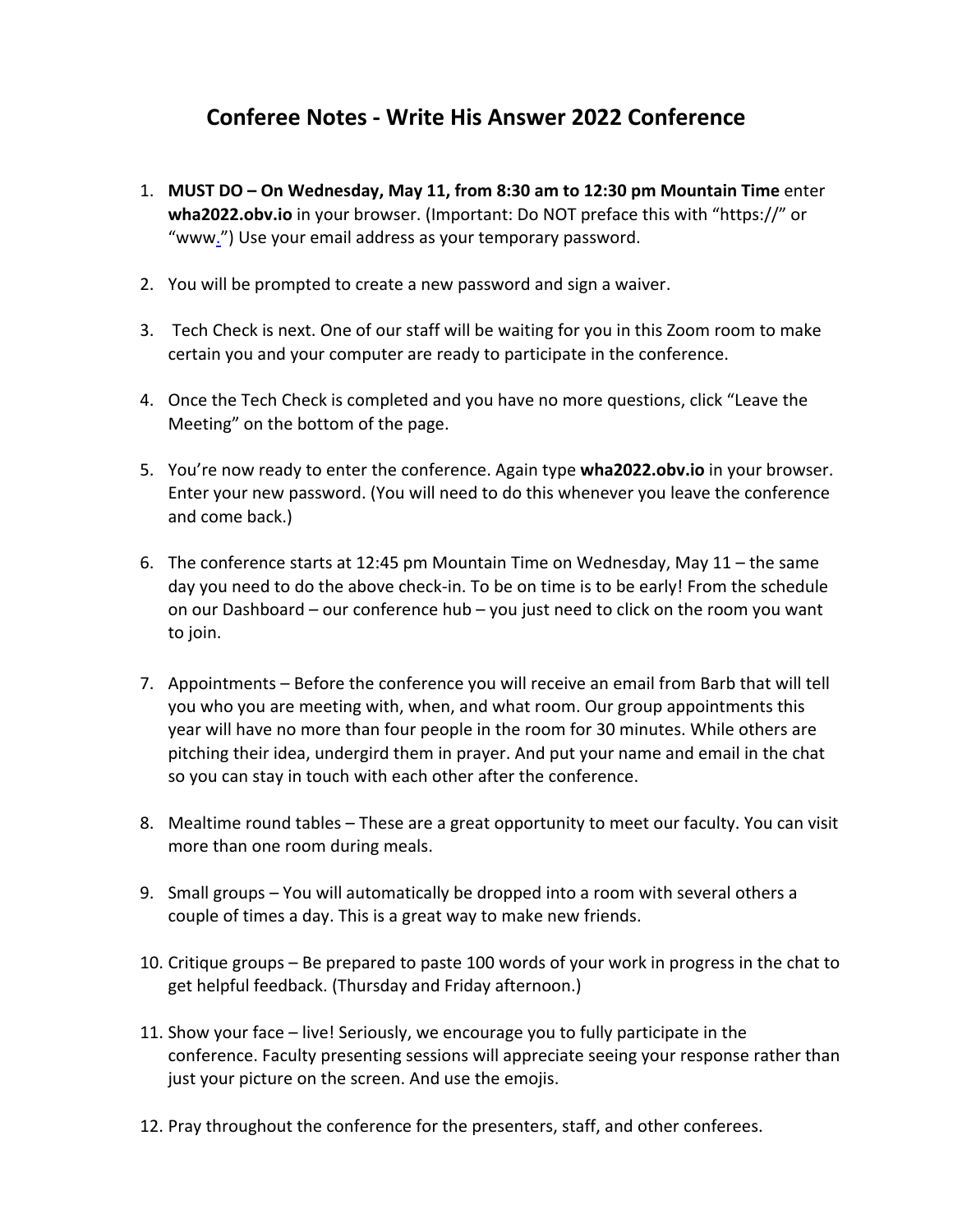## **Conferee Notes ‐ Write His Answer 2022 Conference**

- 1. **MUST DO On Wednesday, May 11, from 8:30 am to 12:30 pm Mountain Time** enter **wha2022.obv.io** in your browser. (Important: Do NOT preface this with "https://" or "www.") Use your email address as your temporary password.
- 2. You will be prompted to create a new password and sign a waiver.
- 3. Tech Check is next. One of our staff will be waiting for you in this Zoom room to make certain you and your computer are ready to participate in the conference.
- 4. Once the Tech Check is completed and you have no more questions, click "Leave the Meeting" on the bottom of the page.
- 5. You're now ready to enter the conference. Again type **wha2022.obv.io** in your browser. Enter your new password. (You will need to do this whenever you leave the conference and come back.)
- 6. The conference starts at 12:45 pm Mountain Time on Wednesday, May 11 the same day you need to do the above check‐in. To be on time is to be early! From the schedule on our Dashboard – our conference hub – you just need to click on the room you want to join.
- 7. Appointments Before the conference you will receive an email from Barb that will tell you who you are meeting with, when, and what room. Our group appointments this year will have no more than four people in the room for 30 minutes. While others are pitching their idea, undergird them in prayer. And put your name and email in the chat so you can stay in touch with each other after the conference.
- 8. Mealtime round tables These are a great opportunity to meet our faculty. You can visit more than one room during meals.
- 9. Small groups You will automatically be dropped into a room with several others a couple of times a day. This is a great way to make new friends.
- 10. Critique groups Be prepared to paste 100 words of your work in progress in the chat to get helpful feedback. (Thursday and Friday afternoon.)
- 11. Show your face live! Seriously, we encourage you to fully participate in the conference. Faculty presenting sessions will appreciate seeing your response rather than just your picture on the screen. And use the emojis.
- 12. Pray throughout the conference for the presenters, staff, and other conferees.